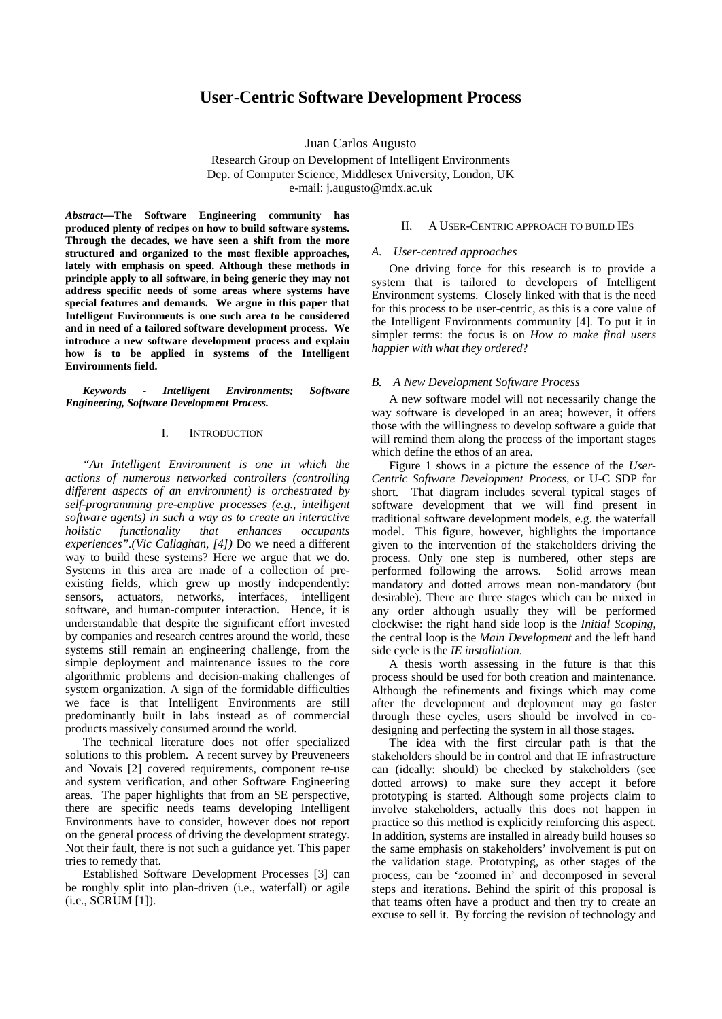# **User-Centric Software Development Process**

Juan Carlos Augusto

Research Group on Development of Intelligent Environments Dep. of Computer Science, Middlesex University, London, UK e-mail: j.augusto@mdx.ac.uk

*Abstract***—The Software Engineering community has produced plenty of recipes on how to build software systems. Through the decades, we have seen a shift from the more structured and organized to the most flexible approaches, lately with emphasis on speed. Although these methods in principle apply to all software, in being generic they may not address specific needs of some areas where systems have special features and demands. We argue in this paper that Intelligent Environments is one such area to be considered and in need of a tailored software development process. We introduce a new software development process and explain how is to be applied in systems of the Intelligent Environments field.**

*Keywords - Intelligent Environments; Software Engineering, Software Development Process.*

## I. INTRODUCTION

*"An Intelligent Environment is one in which the actions of numerous networked controllers (controlling different aspects of an environment) is orchestrated by self-programming pre-emptive processes (e.g., intelligent software agents) in such a way as to create an interactive holistic functionality that enhances experiences".(Vic Callaghan, [4])* Do we need a different way to build these systems? Here we argue that we do. Systems in this area are made of a collection of preexisting fields, which grew up mostly independently: sensors, actuators, networks, interfaces, intelligent software, and human-computer interaction. Hence, it is understandable that despite the significant effort invested by companies and research centres around the world, these systems still remain an engineering challenge, from the simple deployment and maintenance issues to the core algorithmic problems and decision-making challenges of system organization. A sign of the formidable difficulties we face is that Intelligent Environments are still predominantly built in labs instead as of commercial products massively consumed around the world.

The technical literature does not offer specialized solutions to this problem. A recent survey by Preuveneers and Novais [2] covered requirements, component re-use and system verification, and other Software Engineering areas. The paper highlights that from an SE perspective, there are specific needs teams developing Intelligent Environments have to consider, however does not report on the general process of driving the development strategy. Not their fault, there is not such a guidance yet. This paper tries to remedy that.

Established Software Development Processes [3] can be roughly split into plan-driven (i.e., waterfall) or agile (i.e., SCRUM [1]).

## II. A USER-CENTRIC APPROACH TO BUILD IES

## *A. User-centred approaches*

One driving force for this research is to provide a system that is tailored to developers of Intelligent Environment systems. Closely linked with that is the need for this process to be user-centric, as this is a core value of the Intelligent Environments community [4]. To put it in simpler terms: the focus is on *How to make final users happier with what they ordered*?

#### *B. A New Development Software Process*

A new software model will not necessarily change the way software is developed in an area; however, it offers those with the willingness to develop software a guide that will remind them along the process of the important stages which define the ethos of an area.

Figure 1 shows in a picture the essence of the *User-Centric Software Development Process*, or U-C SDP for short. That diagram includes several typical stages of software development that we will find present in traditional software development models, e.g. the waterfall model. This figure, however, highlights the importance given to the intervention of the stakeholders driving the process. Only one step is numbered, other steps are performed following the arrows. Solid arrows mean mandatory and dotted arrows mean non-mandatory (but desirable). There are three stages which can be mixed in any order although usually they will be performed clockwise: the right hand side loop is the *Initial Scoping*, the central loop is the *Main Development* and the left hand side cycle is the *IE installation*.

A thesis worth assessing in the future is that this process should be used for both creation and maintenance. Although the refinements and fixings which may come after the development and deployment may go faster through these cycles, users should be involved in codesigning and perfecting the system in all those stages.

The idea with the first circular path is that the stakeholders should be in control and that IE infrastructure can (ideally: should) be checked by stakeholders (see dotted arrows) to make sure they accept it before prototyping is started. Although some projects claim to involve stakeholders, actually this does not happen in practice so this method is explicitly reinforcing this aspect. In addition, systems are installed in already build houses so the same emphasis on stakeholders' involvement is put on the validation stage. Prototyping, as other stages of the process, can be 'zoomed in' and decomposed in several steps and iterations. Behind the spirit of this proposal is that teams often have a product and then try to create an excuse to sell it. By forcing the revision of technology and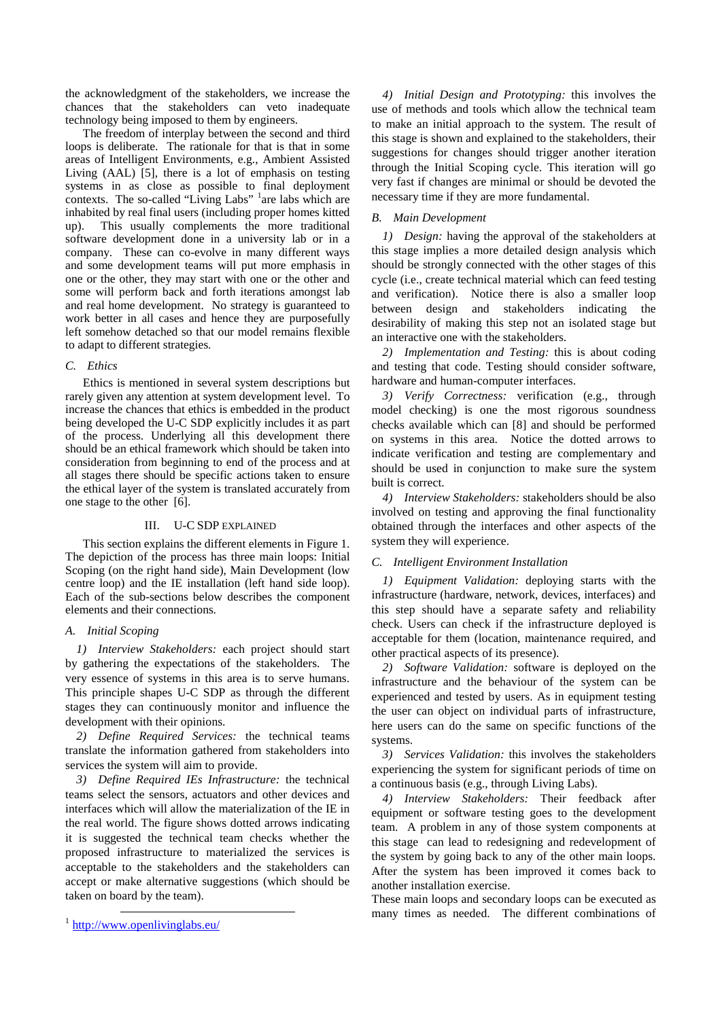the acknowledgment of the stakeholders, we increase the chances that the stakeholders can veto inadequate technology being imposed to them by engineers.

The freedom of interplay between the second and third loops is deliberate. The rationale for that is that in some areas of Intelligent Environments, e.g., Ambient Assisted Living (AAL) [5], there is a lot of emphasis on testing systems in as close as possible to final deployment contexts. The so-called "Living Labs" are labs which are inhabited by real final users (including proper homes kitted up). This usually complements the more traditional software development done in a university lab or in a company. These can co-evolve in many different ways and some development teams will put more emphasis in one or the other, they may start with one or the other and some will perform back and forth iterations amongst lab and real home development. No strategy is guaranteed to work better in all cases and hence they are purposefully left somehow detached so that our model remains flexible to adapt to different strategies.

## *C. Ethics*

Ethics is mentioned in several system descriptions but rarely given any attention at system development level. To increase the chances that ethics is embedded in the product being developed the U-C SDP explicitly includes it as part of the process. Underlying all this development there should be an ethical framework which should be taken into consideration from beginning to end of the process and at all stages there should be specific actions taken to ensure the ethical layer of the system is translated accurately from one stage to the other [6].

## III. U-C SDP EXPLAINED

This section explains the different elements in Figure 1. The depiction of the process has three main loops: Initial Scoping (on the right hand side), Main Development (low centre loop) and the IE installation (left hand side loop). Each of the sub-sections below describes the component elements and their connections.

#### *A. Initial Scoping*

*1) Interview Stakeholders:* each project should start by gathering the expectations of the stakeholders. The very essence of systems in this area is to serve humans. This principle shapes U-C SDP as through the different stages they can continuously monitor and influence the development with their opinions.

*2) Define Required Services:* the technical teams translate the information gathered from stakeholders into services the system will aim to provide.

*3) Define Required IEs Infrastructure:* the technical teams select the sensors, actuators and other devices and interfaces which will allow the materialization of the IE in the real world. The figure shows dotted arrows indicating it is suggested the technical team checks whether the proposed infrastructure to materialized the services is acceptable to the stakeholders and the stakeholders can accept or make alternative suggestions (which should be taken on board by the team).

*4) Initial Design and Prototyping:* this involves the use of methods and tools which allow the technical team to make an initial approach to the system. The result of this stage is shown and explained to the stakeholders, their suggestions for changes should trigger another iteration through the Initial Scoping cycle. This iteration will go very fast if changes are minimal or should be devoted the necessary time if they are more fundamental.

## *B. Main Development*

*1) Design:* having the approval of the stakeholders at this stage implies a more detailed design analysis which should be strongly connected with the other stages of this cycle (i.e., create technical material which can feed testing and verification). Notice there is also a smaller loop between design and stakeholders indicating the desirability of making this step not an isolated stage but an interactive one with the stakeholders.

*2) Implementation and Testing:* this is about coding and testing that code. Testing should consider software, hardware and human-computer interfaces.

*3) Verify Correctness:* verification (e.g., through model checking) is one the most rigorous soundness checks available which can [8] and should be performed on systems in this area. Notice the dotted arrows to indicate verification and testing are complementary and should be used in conjunction to make sure the system built is correct.

*4) Interview Stakeholders:* stakeholders should be also involved on testing and approving the final functionality obtained through the interfaces and other aspects of the system they will experience.

## *C. Intelligent Environment Installation*

*1) Equipment Validation:* deploying starts with the infrastructure (hardware, network, devices, interfaces) and this step should have a separate safety and reliability check. Users can check if the infrastructure deployed is acceptable for them (location, maintenance required, and other practical aspects of its presence).

*2) Software Validation:* software is deployed on the infrastructure and the behaviour of the system can be experienced and tested by users. As in equipment testing the user can object on individual parts of infrastructure, here users can do the same on specific functions of the systems.

*3) Services Validation:* this involves the stakeholders experiencing the system for significant periods of time on a continuous basis (e.g., through Living Labs).

*4) Interview Stakeholders:* Their feedback after equipment or software testing goes to the development team. A problem in any of those system components at this stage can lead to redesigning and redevelopment of the system by going back to any of the other main loops. After the system has been improved it comes back to another installation exercise.

These main loops and secondary loops can be executed as many times as needed. The different combinations of

<span id="page-1-0"></span> <sup>1</sup> <http://www.openlivinglabs.eu/>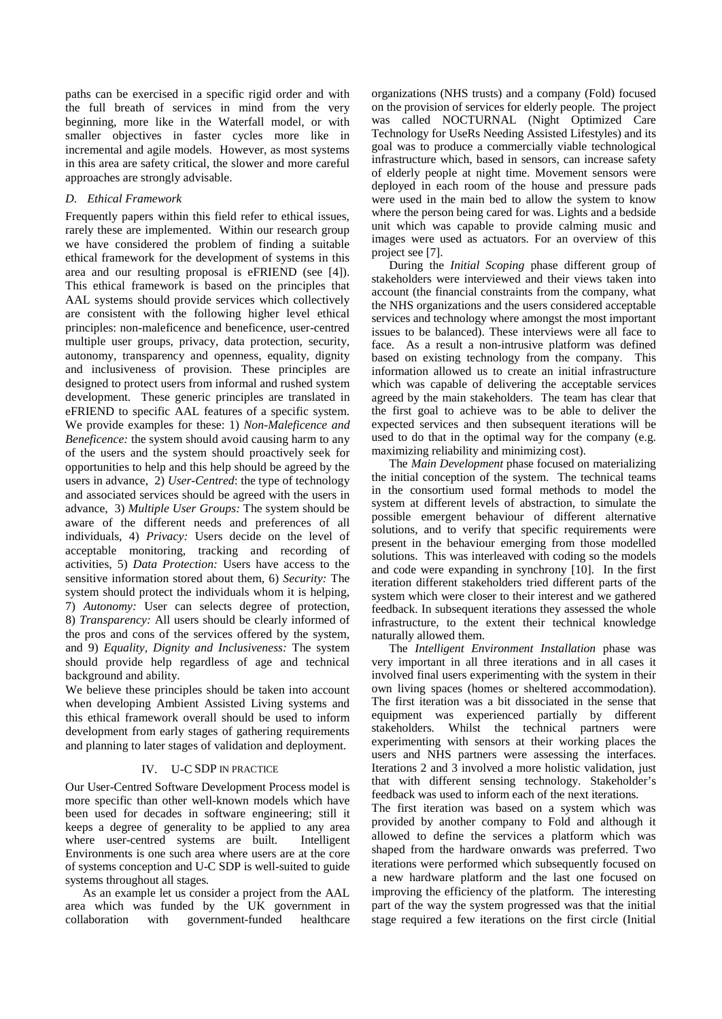paths can be exercised in a specific rigid order and with the full breath of services in mind from the very beginning, more like in the Waterfall model, or with smaller objectives in faster cycles more like in incremental and agile models. However, as most systems in this area are safety critical, the slower and more careful approaches are strongly advisable.

## *D. Ethical Framework*

Frequently papers within this field refer to ethical issues, rarely these are implemented. Within our research group we have considered the problem of finding a suitable ethical framework for the development of systems in this area and our resulting proposal is eFRIEND (see [4]). This ethical framework is based on the principles that AAL systems should provide services which collectively are consistent with the following higher level ethical principles: non-maleficence and beneficence, user-centred multiple user groups, privacy, data protection, security, autonomy, transparency and openness, equality, dignity and inclusiveness of provision. These principles are designed to protect users from informal and rushed system development. These generic principles are translated in eFRIEND to specific AAL features of a specific system. We provide examples for these: 1) *Non-Maleficence and Beneficence:* the system should avoid causing harm to any of the users and the system should proactively seek for opportunities to help and this help should be agreed by the users in advance, 2) *User-Centred*: the type of technology and associated services should be agreed with the users in advance, 3) *Multiple User Groups:* The system should be aware of the different needs and preferences of all individuals, 4) *Privacy:* Users decide on the level of acceptable monitoring, tracking and recording of activities, 5) *Data Protection:* Users have access to the sensitive information stored about them, 6) *Security:* The system should protect the individuals whom it is helping, 7) *Autonomy:* User can selects degree of protection, 8) *Transparency:* All users should be clearly informed of the pros and cons of the services offered by the system, and 9) *Equality, Dignity and Inclusiveness:* The system should provide help regardless of age and technical background and ability.

We believe these principles should be taken into account when developing Ambient Assisted Living systems and this ethical framework overall should be used to inform development from early stages of gathering requirements and planning to later stages of validation and deployment.

## IV. U-C SDP IN PRACTICE

Our User-Centred Software Development Process model is more specific than other well-known models which have been used for decades in software engineering; still it keeps a degree of generality to be applied to any area where user-centred systems are built. Intelligent Environments is one such area where users are at the core of systems conception and U-C SDP is well-suited to guide systems throughout all stages.

As an example let us consider a project from the AAL area which was funded by the UK government in collaboration with government-funded healthcare

organizations (NHS trusts) and a company (Fold) focused on the provision of services for elderly people. The project was called NOCTURNAL (Night Optimized Care Technology for UseRs Needing Assisted Lifestyles) and its goal was to produce a commercially viable technological infrastructure which, based in sensors, can increase safety of elderly people at night time. Movement sensors were deployed in each room of the house and pressure pads were used in the main bed to allow the system to know where the person being cared for was. Lights and a bedside unit which was capable to provide calming music and images were used as actuators. For an overview of this project see [7].

During the *Initial Scoping* phase different group of stakeholders were interviewed and their views taken into account (the financial constraints from the company, what the NHS organizations and the users considered acceptable services and technology where amongst the most important issues to be balanced). These interviews were all face to face. As a result a non-intrusive platform was defined based on existing technology from the company. This information allowed us to create an initial infrastructure which was capable of delivering the acceptable services agreed by the main stakeholders. The team has clear that the first goal to achieve was to be able to deliver the expected services and then subsequent iterations will be used to do that in the optimal way for the company (e.g. maximizing reliability and minimizing cost).

The *Main Development* phase focused on materializing the initial conception of the system. The technical teams in the consortium used formal methods to model the system at different levels of abstraction, to simulate the possible emergent behaviour of different alternative solutions, and to verify that specific requirements were present in the behaviour emerging from those modelled solutions. This was interleaved with coding so the models and code were expanding in synchrony [10]. In the first iteration different stakeholders tried different parts of the system which were closer to their interest and we gathered feedback. In subsequent iterations they assessed the whole infrastructure, to the extent their technical knowledge naturally allowed them.

The *Intelligent Environment Installation* phase was very important in all three iterations and in all cases it involved final users experimenting with the system in their own living spaces (homes or sheltered accommodation). The first iteration was a bit dissociated in the sense that equipment was experienced partially by different stakeholders. Whilst the technical partners were experimenting with sensors at their working places the users and NHS partners were assessing the interfaces. Iterations 2 and 3 involved a more holistic validation, just that with different sensing technology. Stakeholder's feedback was used to inform each of the next iterations.

The first iteration was based on a system which was provided by another company to Fold and although it allowed to define the services a platform which was shaped from the hardware onwards was preferred. Two iterations were performed which subsequently focused on a new hardware platform and the last one focused on improving the efficiency of the platform. The interesting part of the way the system progressed was that the initial stage required a few iterations on the first circle (Initial